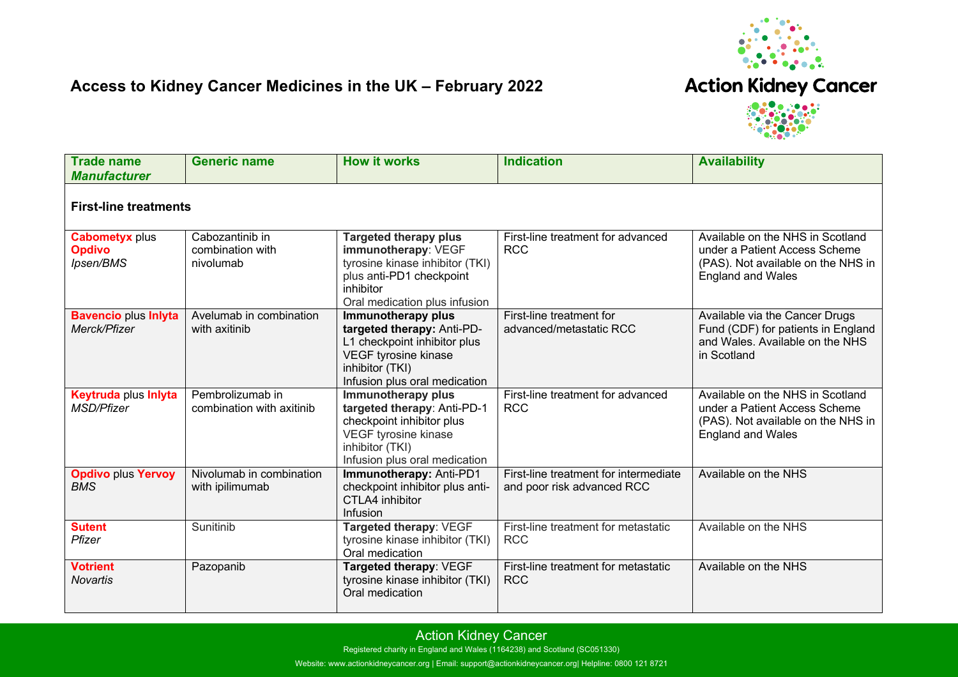

## **Access to Kidney Cancer Medicines in the UK – February 2022**

**Action Kidney Cancer** 



| <b>Trade name</b><br><b>Manufacturer</b>            | <b>Generic name</b>                              | <b>How it works</b>                                                                                                                                                      | <b>Indication</b>                                                   | <b>Availability</b>                                                                                                                 |  |  |  |
|-----------------------------------------------------|--------------------------------------------------|--------------------------------------------------------------------------------------------------------------------------------------------------------------------------|---------------------------------------------------------------------|-------------------------------------------------------------------------------------------------------------------------------------|--|--|--|
| <b>First-line treatments</b>                        |                                                  |                                                                                                                                                                          |                                                                     |                                                                                                                                     |  |  |  |
| <b>Cabometyx plus</b><br><b>Opdivo</b><br>Ipsen/BMS | Cabozantinib in<br>combination with<br>nivolumab | <b>Targeted therapy plus</b><br>immunotherapy: VEGF<br>tyrosine kinase inhibitor (TKI)<br>plus anti-PD1 checkpoint<br>inhibitor<br>Oral medication plus infusion         | First-line treatment for advanced<br><b>RCC</b>                     | Available on the NHS in Scotland<br>under a Patient Access Scheme<br>(PAS). Not available on the NHS in<br><b>England and Wales</b> |  |  |  |
| <b>Bavencio plus Inlyta</b><br>Merck/Pfizer         | Avelumab in combination<br>with axitinib         | Immunotherapy plus<br>targeted therapy: Anti-PD-<br>L1 checkpoint inhibitor plus<br>VEGF tyrosine kinase<br>inhibitor (TKI)<br>Infusion plus oral medication             | First-line treatment for<br>advanced/metastatic RCC                 | Available via the Cancer Drugs<br>Fund (CDF) for patients in England<br>and Wales. Available on the NHS<br>in Scotland              |  |  |  |
| <b>Keytruda plus Inlyta</b><br><b>MSD/Pfizer</b>    | Pembrolizumab in<br>combination with axitinib    | <b>Immunotherapy plus</b><br>targeted therapy: Anti-PD-1<br>checkpoint inhibitor plus<br><b>VEGF tyrosine kinase</b><br>inhibitor (TKI)<br>Infusion plus oral medication | First-line treatment for advanced<br><b>RCC</b>                     | Available on the NHS in Scotland<br>under a Patient Access Scheme<br>(PAS). Not available on the NHS in<br><b>England and Wales</b> |  |  |  |
| <b>Opdivo plus Yervoy</b><br><b>BMS</b>             | Nivolumab in combination<br>with ipilimumab      | Immunotherapy: Anti-PD1<br>checkpoint inhibitor plus anti-<br>CTLA4 inhibitor<br>Infusion                                                                                | First-line treatment for intermediate<br>and poor risk advanced RCC | Available on the NHS                                                                                                                |  |  |  |
| <b>Sutent</b><br>Pfizer                             | Sunitinib                                        | Targeted therapy: VEGF<br>tyrosine kinase inhibitor (TKI)<br>Oral medication                                                                                             | First-line treatment for metastatic<br><b>RCC</b>                   | Available on the NHS                                                                                                                |  |  |  |
| <b>Votrient</b><br>Novartis                         | Pazopanib                                        | Targeted therapy: VEGF<br>tyrosine kinase inhibitor (TKI)<br>Oral medication                                                                                             | First-line treatment for metastatic<br><b>RCC</b>                   | Available on the NHS                                                                                                                |  |  |  |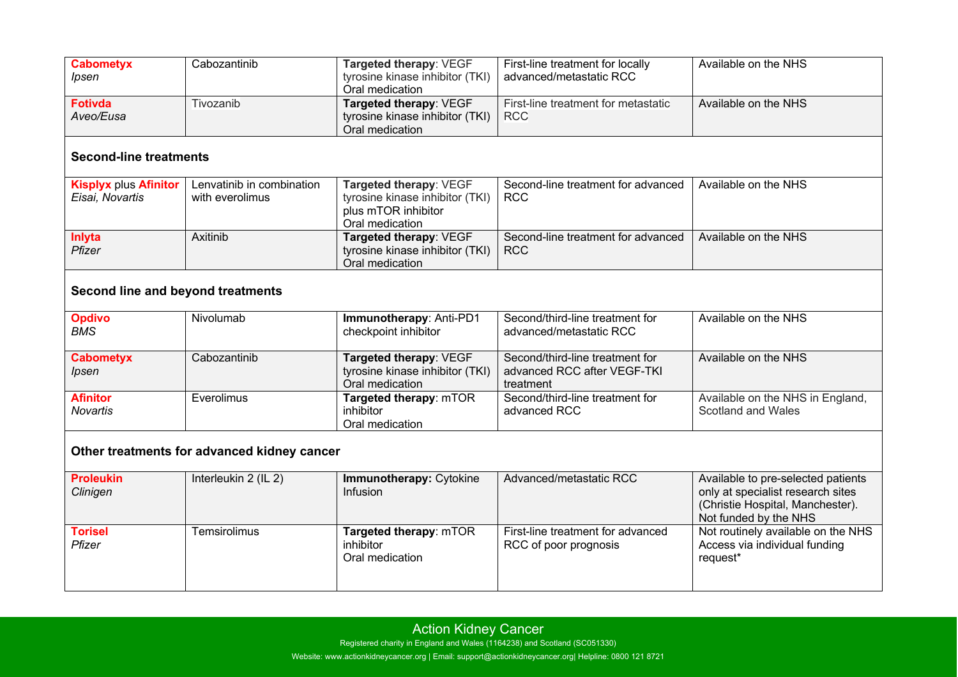| <b>Cabometyx</b><br>Ipsen                       | Cabozantinib                                 | Targeted therapy: VEGF<br>tyrosine kinase inhibitor (TKI)<br>Oral medication                        | First-line treatment for locally<br>advanced/metastatic RCC                 | Available on the NHS                                                                                                                 |  |  |  |  |
|-------------------------------------------------|----------------------------------------------|-----------------------------------------------------------------------------------------------------|-----------------------------------------------------------------------------|--------------------------------------------------------------------------------------------------------------------------------------|--|--|--|--|
| <b>Fotivda</b><br>Aveo/Eusa                     | Tivozanib                                    | Targeted therapy: VEGF<br>tyrosine kinase inhibitor (TKI)<br>Oral medication                        | First-line treatment for metastatic<br><b>RCC</b>                           | Available on the NHS                                                                                                                 |  |  |  |  |
| <b>Second-line treatments</b>                   |                                              |                                                                                                     |                                                                             |                                                                                                                                      |  |  |  |  |
| <b>Kisplyx plus Afinitor</b><br>Eisai, Novartis | Lenvatinib in combination<br>with everolimus | Targeted therapy: VEGF<br>tyrosine kinase inhibitor (TKI)<br>plus mTOR inhibitor<br>Oral medication | Second-line treatment for advanced<br><b>RCC</b>                            | Available on the NHS                                                                                                                 |  |  |  |  |
| Inlyta<br>Pfizer                                | Axitinib                                     | Targeted therapy: VEGF<br>tyrosine kinase inhibitor (TKI)<br>Oral medication                        | Second-line treatment for advanced<br><b>RCC</b>                            | Available on the NHS                                                                                                                 |  |  |  |  |
| Second line and beyond treatments               |                                              |                                                                                                     |                                                                             |                                                                                                                                      |  |  |  |  |
| <b>Opdivo</b><br><b>BMS</b>                     | Nivolumab                                    | Immunotherapy: Anti-PD1<br>checkpoint inhibitor                                                     | Second/third-line treatment for<br>advanced/metastatic RCC                  | Available on the NHS                                                                                                                 |  |  |  |  |
| <b>Cabometyx</b><br>Ipsen                       | Cabozantinib                                 | Targeted therapy: VEGF<br>tyrosine kinase inhibitor (TKI)<br>Oral medication                        | Second/third-line treatment for<br>advanced RCC after VEGF-TKI<br>treatment | Available on the NHS                                                                                                                 |  |  |  |  |
| <b>Afinitor</b><br>Novartis                     | Everolimus                                   | Targeted therapy: mTOR<br>inhibitor<br>Oral medication                                              | Second/third-line treatment for<br>advanced RCC                             | Available on the NHS in England,<br>Scotland and Wales                                                                               |  |  |  |  |
| Other treatments for advanced kidney cancer     |                                              |                                                                                                     |                                                                             |                                                                                                                                      |  |  |  |  |
| <b>Proleukin</b><br>Clinigen                    | Interleukin 2 (IL 2)                         | Immunotherapy: Cytokine<br>Infusion                                                                 | Advanced/metastatic RCC                                                     | Available to pre-selected patients<br>only at specialist research sites<br>(Christie Hospital, Manchester).<br>Not funded by the NHS |  |  |  |  |
| <b>Torisel</b><br>Pfizer                        | Temsirolimus                                 | Targeted therapy: mTOR<br>inhibitor<br>Oral medication                                              | First-line treatment for advanced<br>RCC of poor prognosis                  | Not routinely available on the NHS<br>Access via individual funding<br>request*                                                      |  |  |  |  |